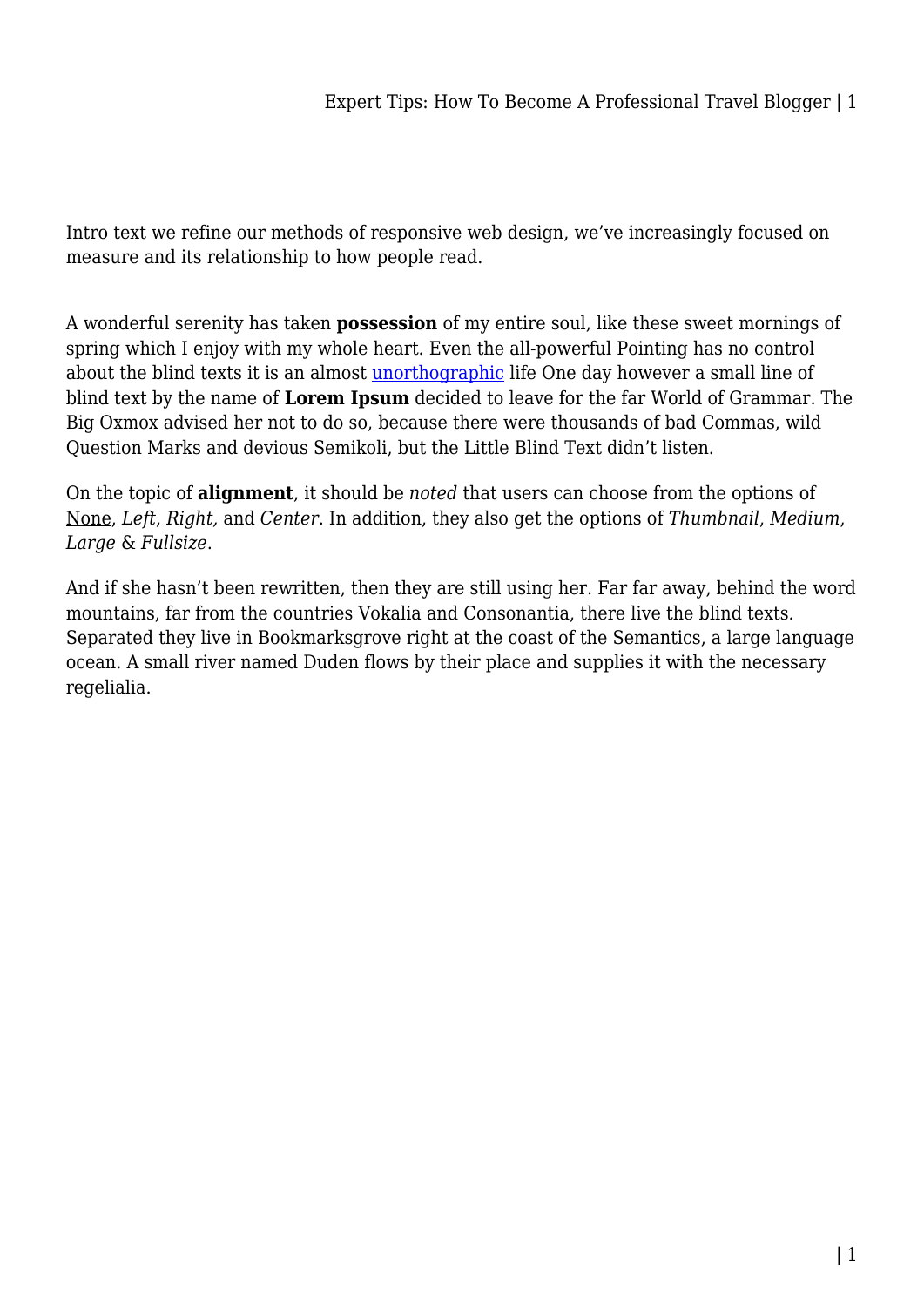Intro text we refine our methods of responsive web design, we've increasingly focused on measure and its relationship to how people read.

A wonderful serenity has taken **possession** of my entire soul, like these sweet mornings of spring which I enjoy with my whole heart. Even the all-powerful Pointing has no control about the blind texts it is an almost [unorthographic](#page--1-0) life One day however a small line of blind text by the name of **Lorem Ipsum** decided to leave for the far World of Grammar. The Big Oxmox advised her not to do so, because there were thousands of bad Commas, wild Question Marks and devious Semikoli, but the Little Blind Text didn't listen.

On the topic of **alignment**, it should be *noted* that users can choose from the options of None, *Left*, *Right,* and *Center*. In addition, they also get the options of *Thumbnail*, *Medium*, *Large* & *Fullsize*.

And if she hasn't been rewritten, then they are still using her. Far far away, behind the word mountains, far from the countries Vokalia and Consonantia, there live the blind texts. Separated they live in Bookmarksgrove right at the coast of the Semantics, a large language ocean. A small river named Duden flows by their place and supplies it with the necessary regelialia.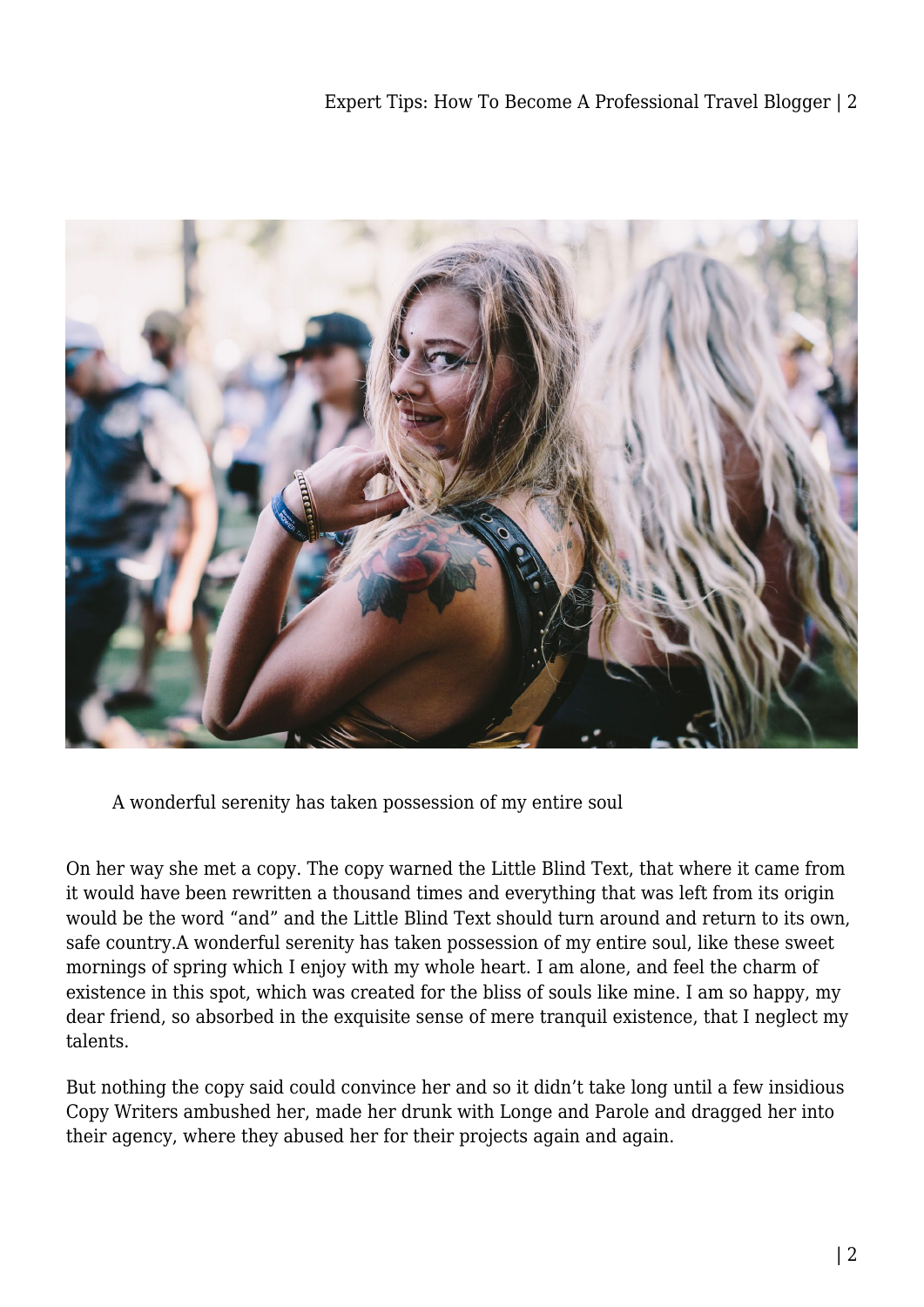

A wonderful serenity has taken possession of my entire soul

On her way she met a copy. The copy warned the Little Blind Text, that where it came from it would have been rewritten a thousand times and everything that was left from its origin would be the word "and" and the Little Blind Text should turn around and return to its own, safe country.A wonderful serenity has taken possession of my entire soul, like these sweet mornings of spring which I enjoy with my whole heart. I am alone, and feel the charm of existence in this spot, which was created for the bliss of souls like mine. I am so happy, my dear friend, so absorbed in the exquisite sense of mere tranquil existence, that I neglect my talents.

But nothing the copy said could convince her and so it didn't take long until a few insidious Copy Writers ambushed her, made her drunk with Longe and Parole and dragged her into their agency, where they abused her for their projects again and again.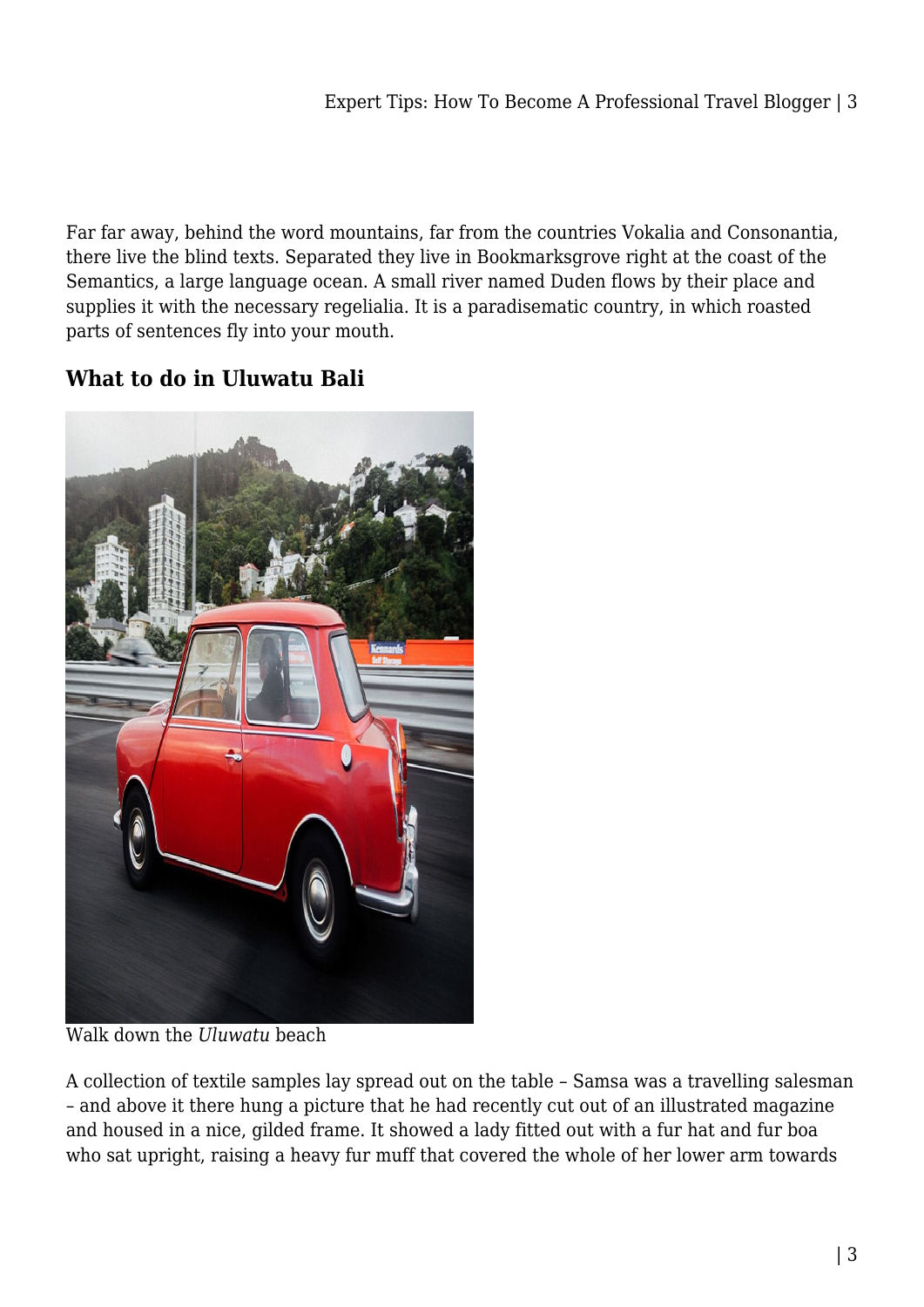Far far away, behind the word mountains, far from the countries Vokalia and Consonantia, there live the blind texts. Separated they live in Bookmarksgrove right at the coast of the Semantics, a large language ocean. A small river named Duden flows by their place and supplies it with the necessary regelialia. It is a paradisematic country, in which roasted parts of sentences fly into your mouth.

## **What to do in Uluwatu Bali**



Walk down the *Uluwatu* beach

A collection of textile samples lay spread out on the table – Samsa was a travelling salesman – and above it there hung a picture that he had recently cut out of an illustrated magazine and housed in a nice, gilded frame. It showed a lady fitted out with a fur hat and fur boa who sat upright, raising a heavy fur muff that covered the whole of her lower arm towards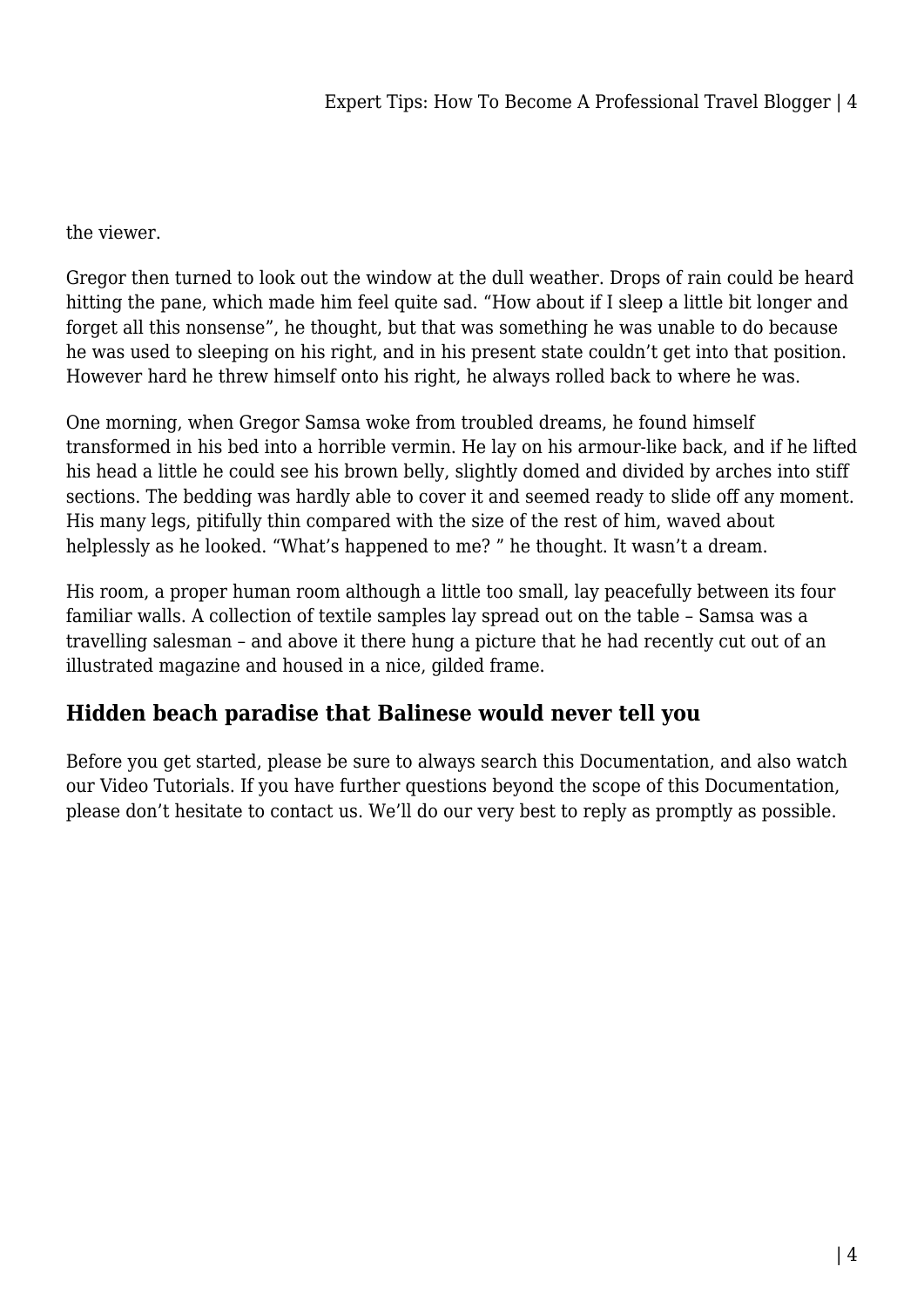## the viewer.

Gregor then turned to look out the window at the dull weather. Drops of rain could be heard hitting the pane, which made him feel quite sad. "How about if I sleep a little bit longer and forget all this nonsense", he thought, but that was something he was unable to do because he was used to sleeping on his right, and in his present state couldn't get into that position. However hard he threw himself onto his right, he always rolled back to where he was.

One morning, when Gregor Samsa woke from troubled dreams, he found himself transformed in his bed into a horrible vermin. He lay on his armour-like back, and if he lifted his head a little he could see his brown belly, slightly domed and divided by arches into stiff sections. The bedding was hardly able to cover it and seemed ready to slide off any moment. His many legs, pitifully thin compared with the size of the rest of him, waved about helplessly as he looked. "What's happened to me? " he thought. It wasn't a dream.

His room, a proper human room although a little too small, lay peacefully between its four familiar walls. A collection of textile samples lay spread out on the table – Samsa was a travelling salesman – and above it there hung a picture that he had recently cut out of an illustrated magazine and housed in a nice, gilded frame.

## **Hidden beach paradise that Balinese would never tell you**

Before you get started, please be sure to always search this Documentation, and also watch our Video Tutorials. If you have further questions beyond the scope of this Documentation, please don't hesitate to contact us. We'll do our very best to reply as promptly as possible.